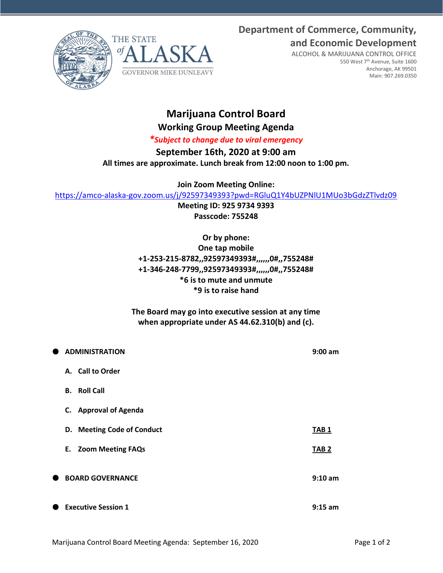Department of Commerce, Community, and Economic Development





ALCOHOL & MARIJUANA CONTROL OFFICE 550 West 7th Avenue, Suite 1600 Anchorage, AK 99501 Main: 907.269.0350

## Marijuana Control Board Working Group Meeting Agenda

\*Subject to change due to viral emergency

September 16th, 2020 at 9:00 am

All times are approximate. Lunch break from 12:00 noon to 1:00 pm.

Join Zoom Meeting Online:

https://amco-alaska-gov.zoom.us/j/92597349393?pwd=RGluQ1Y4bUZPNlU1MUo3bGdzZTlvdz09

Meeting ID: 925 9734 9393 Passcode: 755248

## Or by phone: One tap mobile +1-253-215-8782,,92597349393#,,,,,,0#,,755248# +1-346-248-7799,,92597349393#,,,,,,0#,,755248# \*6 is to mute and unmute \*9 is to raise hand

The Board may go into executive session at any time when appropriate under AS 44.62.310(b) and (c).

| ●         | <b>ADMINISTRATION</b><br>$9:00$ am |                  |
|-----------|------------------------------------|------------------|
|           | A. Call to Order                   |                  |
|           | <b>Roll Call</b><br>В.             |                  |
|           | C. Approval of Agenda              |                  |
|           | D. Meeting Code of Conduct         | TAB <sub>1</sub> |
|           | E. Zoom Meeting FAQs               | TAB <sub>2</sub> |
| $\bullet$ | <b>BOARD GOVERNANCE</b>            | $9:10$ am        |
| $\bullet$ | <b>Executive Session 1</b>         | $9:15$ am        |